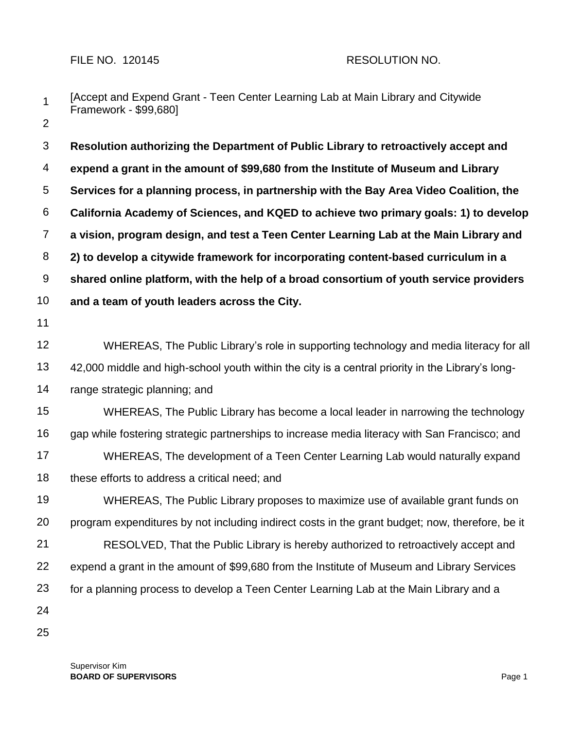## FILE NO. 120145 RESOLUTION NO.

1 2 [Accept and Expend Grant - Teen Center Learning Lab at Main Library and Citywide Framework - \$99,680]

3 4 5 6 7 8 9 **Resolution authorizing the Department of Public Library to retroactively accept and expend a grant in the amount of \$99,680 from the Institute of Museum and Library Services for a planning process, in partnership with the Bay Area Video Coalition, the California Academy of Sciences, and KQED to achieve two primary goals: 1) to develop a vision, program design, and test a Teen Center Learning Lab at the Main Library and 2) to develop a citywide framework for incorporating content-based curriculum in a shared online platform, with the help of a broad consortium of youth service providers** 

- 10 **and a team of youth leaders across the City.**
- 11

12 13 WHEREAS, The Public Library's role in supporting technology and media literacy for all 42,000 middle and high-school youth within the city is a central priority in the Library's long-

14 range strategic planning; and

15 16 17 18 WHEREAS, The Public Library has become a local leader in narrowing the technology gap while fostering strategic partnerships to increase media literacy with San Francisco; and WHEREAS, The development of a Teen Center Learning Lab would naturally expand these efforts to address a critical need; and

19 20 21 22 23 24 WHEREAS, The Public Library proposes to maximize use of available grant funds on program expenditures by not including indirect costs in the grant budget; now, therefore, be it RESOLVED, That the Public Library is hereby authorized to retroactively accept and expend a grant in the amount of \$99,680 from the Institute of Museum and Library Services for a planning process to develop a Teen Center Learning Lab at the Main Library and a

25

Supervisor Kim **BOARD OF SUPERVISORS** Page 1